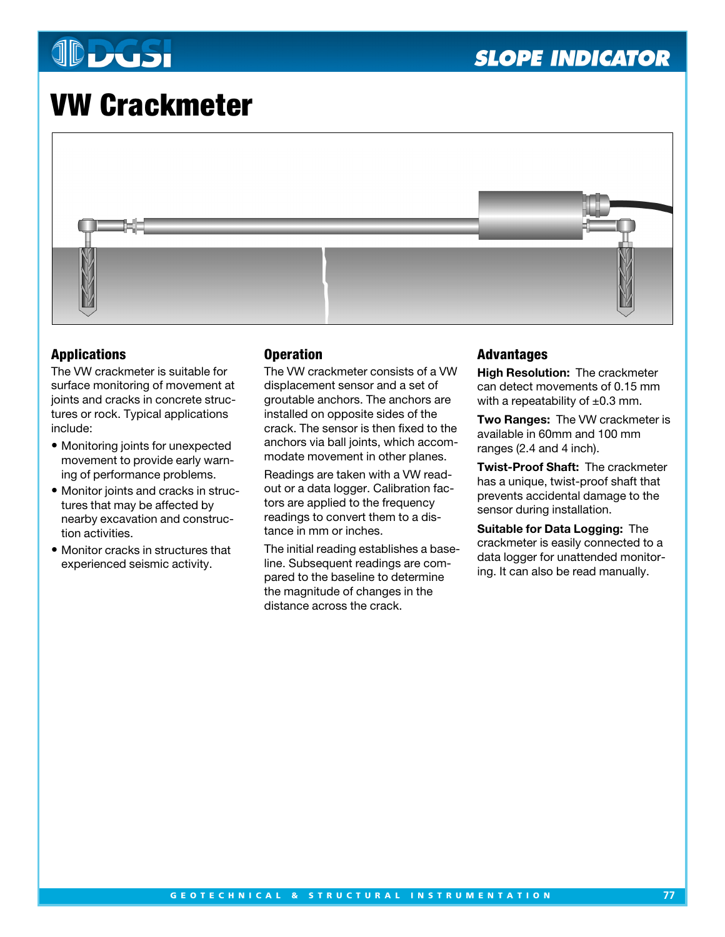# **JDDGSI**

# **VW Crackmeter**



# **Applications**

The VW crackmeter is suitable for surface monitoring of movement at joints and cracks in concrete structures or rock. Typical applications include:

- Monitoring joints for unexpected movement to provide early warning of performance problems.
- Monitor joints and cracks in structures that may be affected by nearby excavation and construction activities.
- Monitor cracks in structures that experienced seismic activity.

## **Operation**

The VW crackmeter consists of a VW displacement sensor and a set of groutable anchors. The anchors are installed on opposite sides of the crack. The sensor is then fixed to the anchors via ball joints, which accommodate movement in other planes.

Readings are taken with a VW readout or a data logger. Calibration factors are applied to the frequency readings to convert them to a distance in mm or inches.

The initial reading establishes a baseline. Subsequent readings are compared to the baseline to determine the magnitude of changes in the distance across the crack.

## **Advantages**

**High Resolution:** The crackmeter can detect movements of 0.15 mm with a repeatability of  $\pm 0.3$  mm.

**Two Ranges:** The VW crackmeter is available in 60mm and 100 mm ranges (2.4 and 4 inch).

**Twist-Proof Shaft:** The crackmeter has a unique, twist-proof shaft that prevents accidental damage to the sensor during installation.

**Suitable for Data Logging:** The crackmeter is easily connected to a data logger for unattended monitoring. It can also be read manually.